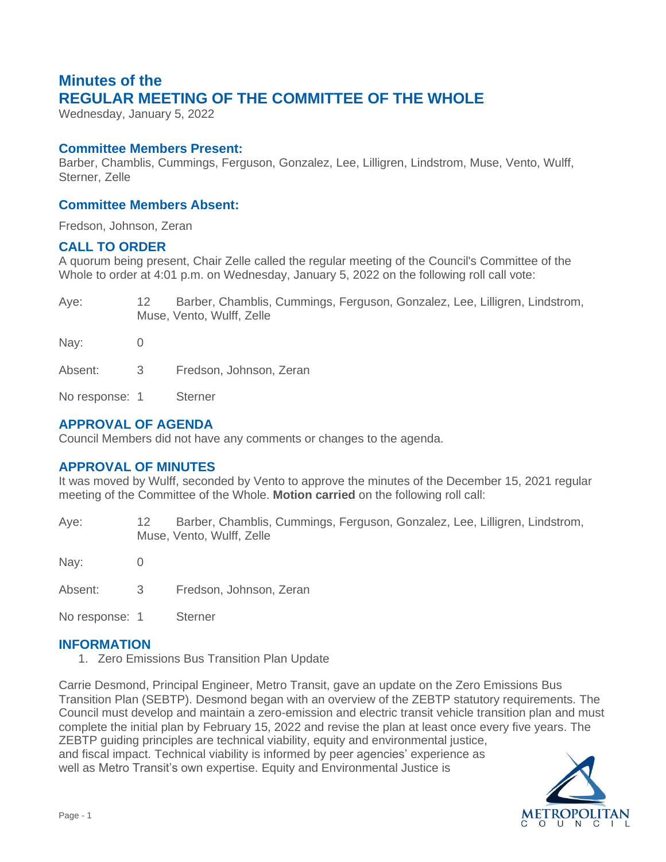# **Minutes of the REGULAR MEETING OF THE COMMITTEE OF THE WHOLE**

Wednesday, January 5, 2022

### **Committee Members Present:**

Barber, Chamblis, Cummings, Ferguson, Gonzalez, Lee, Lilligren, Lindstrom, Muse, Vento, Wulff, Sterner, Zelle

## **Committee Members Absent:**

Fredson, Johnson, Zeran

### **CALL TO ORDER**

A quorum being present, Chair Zelle called the regular meeting of the Council's Committee of the Whole to order at 4:01 p.m. on Wednesday, January 5, 2022 on the following roll call vote:

| Aye:           |     | Barber, Chamblis, Cummings, Ferguson, Gonzalez, Lee, Lilligren, Lindstrom,<br>Muse, Vento, Wulff, Zelle |
|----------------|-----|---------------------------------------------------------------------------------------------------------|
| Nay:           |     |                                                                                                         |
| Absent:        | - 3 | Fredson, Johnson, Zeran                                                                                 |
| No response: 1 |     | <b>Sterner</b>                                                                                          |

# **APPROVAL OF AGENDA**

Council Members did not have any comments or changes to the agenda.

# **APPROVAL OF MINUTES**

It was moved by Wulff, seconded by Vento to approve the minutes of the December 15, 2021 regular meeting of the Committee of the Whole. **Motion carried** on the following roll call:

Aye: 12 Barber, Chamblis, Cummings, Ferguson, Gonzalez, Lee, Lilligren, Lindstrom, Muse, Vento, Wulff, Zelle

Nay: 0

Absent: 3 Fredson, Johnson, Zeran

No response: 1 Sterner

### **INFORMATION**

1. Zero Emissions Bus Transition Plan Update

Carrie Desmond, Principal Engineer, Metro Transit, gave an update on the Zero Emissions Bus Transition Plan (SEBTP). Desmond began with an overview of the ZEBTP statutory requirements. The Council must develop and maintain a zero-emission and electric transit vehicle transition plan and must complete the initial plan by February 15, 2022 and revise the plan at least once every five years. The ZEBTP guiding principles are technical viability, equity and environmental justice, and fiscal impact. Technical viability is informed by peer agencies' experience as well as Metro Transit's own expertise. Equity and Environmental Justice is